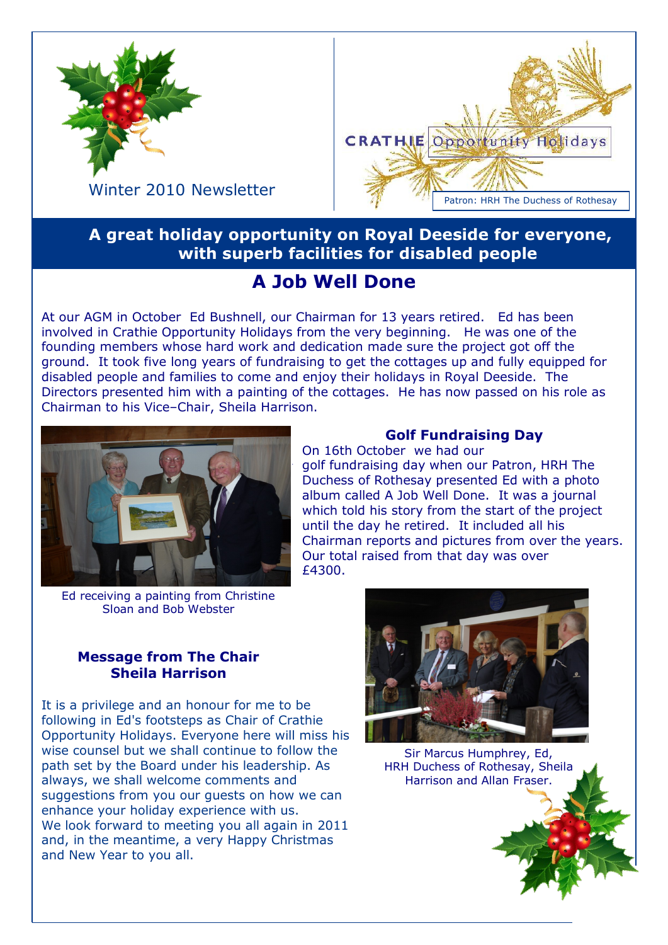



Winter 2010 Newsletter

# **A great holiday opportunity on Royal Deeside for everyone, with superb facilities for disabled people**

# **A Job Well Done**

At our AGM in October Ed Bushnell, our Chairman for 13 years retired. Ed has been involved in Crathie Opportunity Holidays from the very beginning. He was one of the founding members whose hard work and dedication made sure the project got off the ground. It took five long years of fundraising to get the cottages up and fully equipped for disabled people and families to come and enjoy their holidays in Royal Deeside. The Directors presented him with a painting of the cottages. He has now passed on his role as Chairman to his Vice–Chair, Sheila Harrison.



Ed receiving a painting from Christine Sloan and Bob Webster

### **Golf Fundraising Day**

On 16th October we had our golf fundraising day when our Patron, HRH The Duchess of Rothesay presented Ed with a photo album called A Job Well Done. It was a journal which told his story from the start of the project until the day he retired. It included all his Chairman reports and pictures from over the years. Our total raised from that day was over £4300.

#### **Message from The Chair Sheila Harrison**

It is a privilege and an honour for me to be following in Ed's footsteps as Chair of Crathie Opportunity Holidays. Everyone here will miss his wise counsel but we shall continue to follow the path set by the Board under his leadership. As always, we shall welcome comments and suggestions from you our guests on how we can enhance your holiday experience with us. We look forward to meeting you all again in 2011 and, in the meantime, a very Happy Christmas and New Year to you all.



Sir Marcus Humphrey, Ed, HRH Duchess of Rothesay, Sheila Harrison and Allan Fraser.